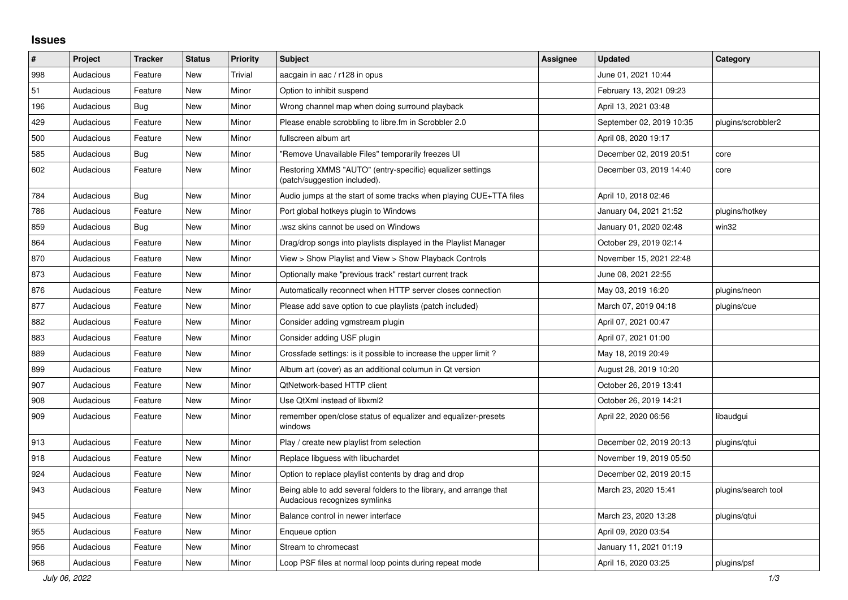## **Issues**

| $\sharp$ | Project   | <b>Tracker</b> | <b>Status</b> | <b>Priority</b> | <b>Subject</b>                                                                                      | <b>Assignee</b> | <b>Updated</b>           | Category            |
|----------|-----------|----------------|---------------|-----------------|-----------------------------------------------------------------------------------------------------|-----------------|--------------------------|---------------------|
| 998      | Audacious | Feature        | <b>New</b>    | Trivial         | aacgain in aac / r128 in opus                                                                       |                 | June 01, 2021 10:44      |                     |
| 51       | Audacious | Feature        | <b>New</b>    | Minor           | Option to inhibit suspend                                                                           |                 | February 13, 2021 09:23  |                     |
| 196      | Audacious | Bug            | <b>New</b>    | Minor           | Wrong channel map when doing surround playback                                                      |                 | April 13, 2021 03:48     |                     |
| 429      | Audacious | Feature        | New           | Minor           | Please enable scrobbling to libre.fm in Scrobbler 2.0                                               |                 | September 02, 2019 10:35 | plugins/scrobbler2  |
| 500      | Audacious | Feature        | <b>New</b>    | Minor           | fullscreen album art                                                                                |                 | April 08, 2020 19:17     |                     |
| 585      | Audacious | Bug            | <b>New</b>    | Minor           | "Remove Unavailable Files" temporarily freezes UI                                                   |                 | December 02, 2019 20:51  | core                |
| 602      | Audacious | Feature        | <b>New</b>    | Minor           | Restoring XMMS "AUTO" (entry-specific) equalizer settings<br>(patch/suggestion included).           |                 | December 03, 2019 14:40  | core                |
| 784      | Audacious | <b>Bug</b>     | New           | Minor           | Audio jumps at the start of some tracks when playing CUE+TTA files                                  |                 | April 10, 2018 02:46     |                     |
| 786      | Audacious | Feature        | <b>New</b>    | Minor           | Port global hotkeys plugin to Windows                                                               |                 | January 04, 2021 21:52   | plugins/hotkey      |
| 859      | Audacious | Bug            | <b>New</b>    | Minor           | wsz skins cannot be used on Windows                                                                 |                 | January 01, 2020 02:48   | win32               |
| 864      | Audacious | Feature        | <b>New</b>    | Minor           | Drag/drop songs into playlists displayed in the Playlist Manager                                    |                 | October 29, 2019 02:14   |                     |
| 870      | Audacious | Feature        | <b>New</b>    | Minor           | View > Show Playlist and View > Show Playback Controls                                              |                 | November 15, 2021 22:48  |                     |
| 873      | Audacious | Feature        | <b>New</b>    | Minor           | Optionally make "previous track" restart current track                                              |                 | June 08, 2021 22:55      |                     |
| 876      | Audacious | Feature        | New           | Minor           | Automatically reconnect when HTTP server closes connection                                          |                 | May 03, 2019 16:20       | plugins/neon        |
| 877      | Audacious | Feature        | <b>New</b>    | Minor           | Please add save option to cue playlists (patch included)                                            |                 | March 07, 2019 04:18     | plugins/cue         |
| 882      | Audacious | Feature        | <b>New</b>    | Minor           | Consider adding vgmstream plugin                                                                    |                 | April 07, 2021 00:47     |                     |
| 883      | Audacious | Feature        | <b>New</b>    | Minor           | Consider adding USF plugin                                                                          |                 | April 07, 2021 01:00     |                     |
| 889      | Audacious | Feature        | <b>New</b>    | Minor           | Crossfade settings: is it possible to increase the upper limit?                                     |                 | May 18, 2019 20:49       |                     |
| 899      | Audacious | Feature        | New           | Minor           | Album art (cover) as an additional columun in Qt version                                            |                 | August 28, 2019 10:20    |                     |
| 907      | Audacious | Feature        | New           | Minor           | QtNetwork-based HTTP client                                                                         |                 | October 26, 2019 13:41   |                     |
| 908      | Audacious | Feature        | <b>New</b>    | Minor           | Use QtXml instead of libxml2                                                                        |                 | October 26, 2019 14:21   |                     |
| 909      | Audacious | Feature        | <b>New</b>    | Minor           | remember open/close status of equalizer and equalizer-presets<br>windows                            |                 | April 22, 2020 06:56     | libaudgui           |
| 913      | Audacious | Feature        | <b>New</b>    | Minor           | Play / create new playlist from selection                                                           |                 | December 02, 2019 20:13  | plugins/qtui        |
| 918      | Audacious | Feature        | <b>New</b>    | Minor           | Replace libguess with libuchardet                                                                   |                 | November 19, 2019 05:50  |                     |
| 924      | Audacious | Feature        | <b>New</b>    | Minor           | Option to replace playlist contents by drag and drop                                                |                 | December 02, 2019 20:15  |                     |
| 943      | Audacious | Feature        | <b>New</b>    | Minor           | Being able to add several folders to the library, and arrange that<br>Audacious recognizes symlinks |                 | March 23, 2020 15:41     | plugins/search tool |
| 945      | Audacious | Feature        | <b>New</b>    | Minor           | Balance control in newer interface                                                                  |                 | March 23, 2020 13:28     | plugins/gtui        |
| 955      | Audacious | Feature        | <b>New</b>    | Minor           | Enqueue option                                                                                      |                 | April 09, 2020 03:54     |                     |
| 956      | Audacious | Feature        | <b>New</b>    | Minor           | Stream to chromecast                                                                                |                 | January 11, 2021 01:19   |                     |
| 968      | Audacious | Feature        | <b>New</b>    | Minor           | Loop PSF files at normal loop points during repeat mode                                             |                 | April 16, 2020 03:25     | plugins/psf         |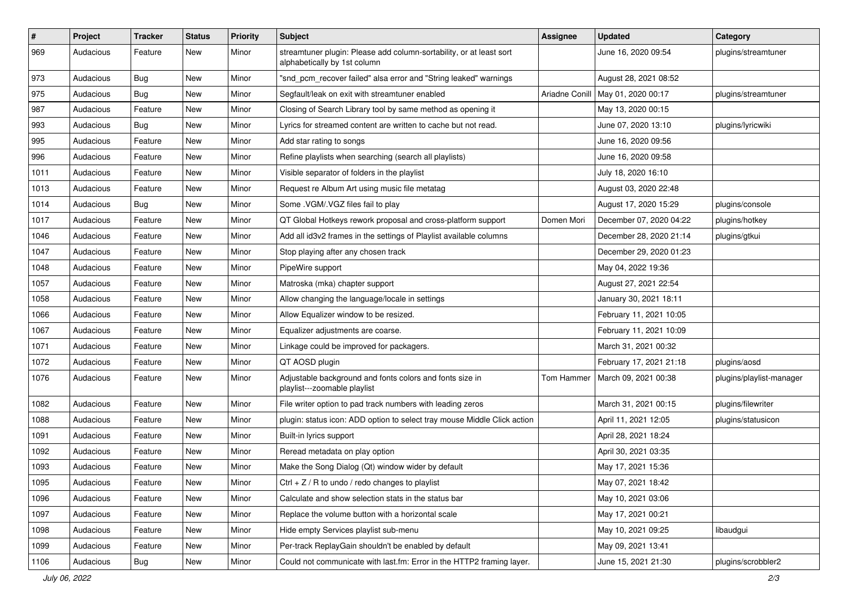| $\#$ | Project   | <b>Tracker</b> | <b>Status</b> | <b>Priority</b> | <b>Subject</b>                                                                                      | <b>Assignee</b> | <b>Updated</b>                      | Category                 |
|------|-----------|----------------|---------------|-----------------|-----------------------------------------------------------------------------------------------------|-----------------|-------------------------------------|--------------------------|
| 969  | Audacious | Feature        | New           | Minor           | streamtuner plugin: Please add column-sortability, or at least sort<br>alphabetically by 1st column |                 | June 16, 2020 09:54                 | plugins/streamtuner      |
| 973  | Audacious | Bug            | New           | Minor           | "snd_pcm_recover failed" alsa error and "String leaked" warnings                                    |                 | August 28, 2021 08:52               |                          |
| 975  | Audacious | <b>Bug</b>     | New           | Minor           | Segfault/leak on exit with streamtuner enabled                                                      |                 | Ariadne Conill   May 01, 2020 00:17 | plugins/streamtuner      |
| 987  | Audacious | Feature        | New           | Minor           | Closing of Search Library tool by same method as opening it                                         |                 | May 13, 2020 00:15                  |                          |
| 993  | Audacious | Bug            | New           | Minor           | Lyrics for streamed content are written to cache but not read.                                      |                 | June 07, 2020 13:10                 | plugins/lyricwiki        |
| 995  | Audacious | Feature        | New           | Minor           | Add star rating to songs                                                                            |                 | June 16, 2020 09:56                 |                          |
| 996  | Audacious | Feature        | New           | Minor           | Refine playlists when searching (search all playlists)                                              |                 | June 16, 2020 09:58                 |                          |
| 1011 | Audacious | Feature        | New           | Minor           | Visible separator of folders in the playlist                                                        |                 | July 18, 2020 16:10                 |                          |
| 1013 | Audacious | Feature        | New           | Minor           | Request re Album Art using music file metatag                                                       |                 | August 03, 2020 22:48               |                          |
| 1014 | Audacious | Bug            | New           | Minor           | Some .VGM/.VGZ files fail to play                                                                   |                 | August 17, 2020 15:29               | plugins/console          |
| 1017 | Audacious | Feature        | New           | Minor           | QT Global Hotkeys rework proposal and cross-platform support                                        | Domen Mori      | December 07, 2020 04:22             | plugins/hotkey           |
| 1046 | Audacious | Feature        | New           | Minor           | Add all id3v2 frames in the settings of Playlist available columns                                  |                 | December 28, 2020 21:14             | plugins/gtkui            |
| 1047 | Audacious | Feature        | New           | Minor           | Stop playing after any chosen track                                                                 |                 | December 29, 2020 01:23             |                          |
| 1048 | Audacious | Feature        | New           | Minor           | PipeWire support                                                                                    |                 | May 04, 2022 19:36                  |                          |
| 1057 | Audacious | Feature        | New           | Minor           | Matroska (mka) chapter support                                                                      |                 | August 27, 2021 22:54               |                          |
| 1058 | Audacious | Feature        | New           | Minor           | Allow changing the language/locale in settings                                                      |                 | January 30, 2021 18:11              |                          |
| 1066 | Audacious | Feature        | New           | Minor           | Allow Equalizer window to be resized.                                                               |                 | February 11, 2021 10:05             |                          |
| 1067 | Audacious | Feature        | New           | Minor           | Equalizer adjustments are coarse.                                                                   |                 | February 11, 2021 10:09             |                          |
| 1071 | Audacious | Feature        | New           | Minor           | Linkage could be improved for packagers.                                                            |                 | March 31, 2021 00:32                |                          |
| 1072 | Audacious | Feature        | New           | Minor           | QT AOSD plugin                                                                                      |                 | February 17, 2021 21:18             | plugins/aosd             |
| 1076 | Audacious | Feature        | New           | Minor           | Adjustable background and fonts colors and fonts size in<br>playlist---zoomable playlist            | Tom Hammer      | March 09, 2021 00:38                | plugins/playlist-manager |
| 1082 | Audacious | Feature        | New           | Minor           | File writer option to pad track numbers with leading zeros                                          |                 | March 31, 2021 00:15                | plugins/filewriter       |
| 1088 | Audacious | Feature        | New           | Minor           | plugin: status icon: ADD option to select tray mouse Middle Click action                            |                 | April 11, 2021 12:05                | plugins/statusicon       |
| 1091 | Audacious | Feature        | New           | Minor           | Built-in lyrics support                                                                             |                 | April 28, 2021 18:24                |                          |
| 1092 | Audacious | Feature        | New           | Minor           | Reread metadata on play option                                                                      |                 | April 30, 2021 03:35                |                          |
| 1093 | Audacious | Feature        | New           | Minor           | Make the Song Dialog (Qt) window wider by default                                                   |                 | May 17, 2021 15:36                  |                          |
| 1095 | Audacious | Feature        | New           | Minor           | Ctrl + $Z$ / R to undo / redo changes to playlist                                                   |                 | May 07, 2021 18:42                  |                          |
| 1096 | Audacious | Feature        | New           | Minor           | Calculate and show selection stats in the status bar                                                |                 | May 10, 2021 03:06                  |                          |
| 1097 | Audacious | Feature        | New           | Minor           | Replace the volume button with a horizontal scale                                                   |                 | May 17, 2021 00:21                  |                          |
| 1098 | Audacious | Feature        | New           | Minor           | Hide empty Services playlist sub-menu                                                               |                 | May 10, 2021 09:25                  | libaudgui                |
| 1099 | Audacious | Feature        | New           | Minor           | Per-track ReplayGain shouldn't be enabled by default                                                |                 | May 09, 2021 13:41                  |                          |
| 1106 | Audacious | <b>Bug</b>     | New           | Minor           | Could not communicate with last.fm: Error in the HTTP2 framing layer.                               |                 | June 15, 2021 21:30                 | plugins/scrobbler2       |